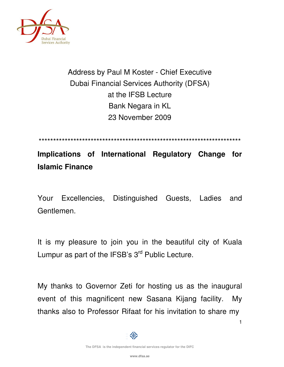

# Address by Paul M Koster - Chief Executive Dubai Financial Services Authority (DFSA) at the IFSB Lecture Bank Negara in KL 23 November 2009

\*\*\*\*\*\*\*\*\*\*\*\*\*\*\*\*\*\*\*\*\*\*\*\*\*\*\*\*\*\*\*\*\*\*\*\*\*\*\*\*\*\*\*\*\*\*\*\*\*\*\*\*\*\*\*\*\*\*\*\*\*\*\*\*\*\*\*\*\*\*

**Implications of International Regulatory Change for Islamic Finance** 

Your Excellencies, Distinguished Guests, Ladies and Gentlemen.

It is my pleasure to join you in the beautiful city of Kuala Lumpur as part of the IFSB's 3<sup>rd</sup> Public Lecture.

My thanks to Governor Zeti for hosting us as the inaugural event of this magnificent new Sasana Kijang facility. My thanks also to Professor Rifaat for his invitation to share my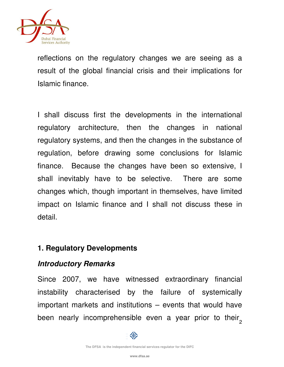

reflections on the regulatory changes we are seeing as a result of the global financial crisis and their implications for Islamic finance.

I shall discuss first the developments in the international regulatory architecture, then the changes in national regulatory systems, and then the changes in the substance of regulation, before drawing some conclusions for Islamic finance. Because the changes have been so extensive, I shall inevitably have to be selective. There are some changes which, though important in themselves, have limited impact on Islamic finance and I shall not discuss these in detail.

## **1. Regulatory Developments**

## **Introductory Remarks**

been nearly incomprehensible even a year prior to their<sub>2</sub> Since 2007, we have witnessed extraordinary financial instability characterised by the failure of systemically important markets and institutions – events that would have

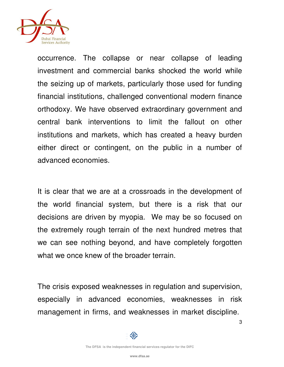

occurrence. The collapse or near collapse of leading investment and commercial banks shocked the world while the seizing up of markets, particularly those used for funding financial institutions, challenged conventional modern finance orthodoxy. We have observed extraordinary government and central bank interventions to limit the fallout on other institutions and markets, which has created a heavy burden either direct or contingent, on the public in a number of advanced economies.

It is clear that we are at a crossroads in the development of the world financial system, but there is a risk that our decisions are driven by myopia. We may be so focused on the extremely rough terrain of the next hundred metres that we can see nothing beyond, and have completely forgotten what we once knew of the broader terrain.

The crisis exposed weaknesses in regulation and supervision, especially in advanced economies, weaknesses in risk management in firms, and weaknesses in market discipline.

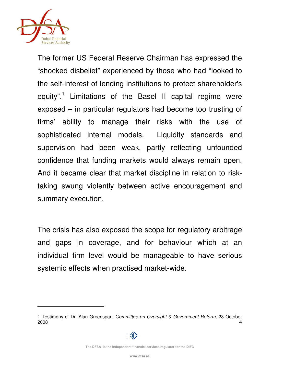

The former US Federal Reserve Chairman has expressed the "shocked disbelief" experienced by those who had "looked to the self-interest of lending institutions to protect shareholder's equity".<sup>1</sup> Limitations of the Basel II capital regime were exposed – in particular regulators had become too trusting of firms' ability to manage their risks with the use of sophisticated internal models. Liquidity standards and supervision had been weak, partly reflecting unfounded confidence that funding markets would always remain open. And it became clear that market discipline in relation to risktaking swung violently between active encouragement and summary execution.

The crisis has also exposed the scope for regulatory arbitrage and gaps in coverage, and for behaviour which at an individual firm level would be manageable to have serious systemic effects when practised market-wide.

<sup>4</sup> 1 Testimony of Dr. Alan Greenspan, Committee on Oversight & Government Reform, 23 October 2008



**The DFSA is the independent financial services regulator for the DIFC**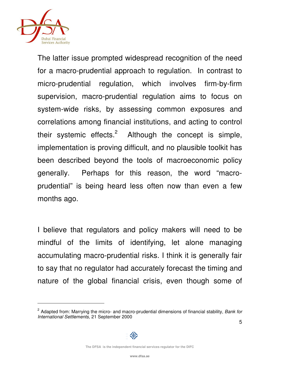

The latter issue prompted widespread recognition of the need for a macro-prudential approach to regulation. In contrast to micro-prudential regulation, which involves firm-by-firm supervision, macro-prudential regulation aims to focus on system-wide risks, by assessing common exposures and correlations among financial institutions, and acting to control their systemic effects.<sup>2</sup> Although the concept is simple, implementation is proving difficult, and no plausible toolkit has been described beyond the tools of macroeconomic policy generally. Perhaps for this reason, the word "macroprudential" is being heard less often now than even a few months ago.

I believe that regulators and policy makers will need to be mindful of the limits of identifying, let alone managing accumulating macro-prudential risks. I think it is generally fair to say that no regulator had accurately forecast the timing and nature of the global financial crisis, even though some of

<sup>5</sup> <sup>2</sup> Adapted from: Marrying the micro- and macro-prudential dimensions of financial stability, Bank for International Settlements, 21 September 2000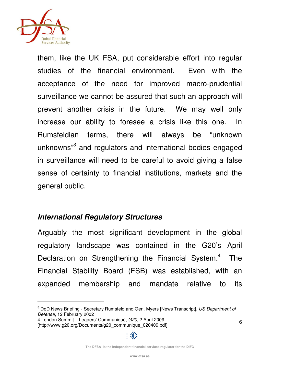

1

them, like the UK FSA, put considerable effort into regular studies of the financial environment. Even with the acceptance of the need for improved macro-prudential surveillance we cannot be assured that such an approach will prevent another crisis in the future. We may well only increase our ability to foresee a crisis like this one. In Rumsfeldian terms, there will always be "unknown unknowns"<sup>3</sup> and regulators and international bodies engaged in surveillance will need to be careful to avoid giving a false sense of certainty to financial institutions, markets and the general public.

## **International Regulatory Structures**

Arguably the most significant development in the global regulatory landscape was contained in the G20's April Declaration on Strengthening the Financial System.<sup>4</sup> The Financial Stability Board (FSB) was established, with an expanded membership and mandate relative to its



<sup>&</sup>lt;sup>3</sup> DoD News Briefing - Secretary Rumsfeld and Gen. Myers [News Transcript], US Department of Defense, 12 February 2002

<sup>4</sup> London Summit – Leaders' Communiqué, G20, 2 April 2009 [http://www.g20.org/Documents/g20\_communique\_020409.pdf]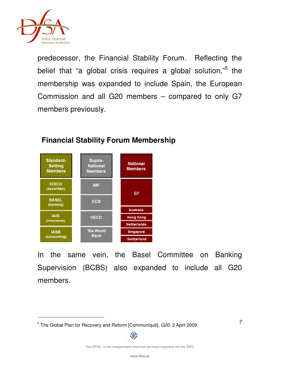

predecessor, the Financial Stability Forum. Reflecting the belief that "a global crisis requires a global solution,"<sup>5</sup> the membership was expanded to include Spain, the European Commission and all G20 members – compared to only G7 members previously.



# **Financial Stability Forum Membership**

In the same vein, the Basel Committee on Banking Supervision (BCBS) also expanded to include all G20 members.



<sup>&</sup>lt;sup>5</sup> The Global Plan for Recovery and Reform [Communiqué], G20, 2 April 2009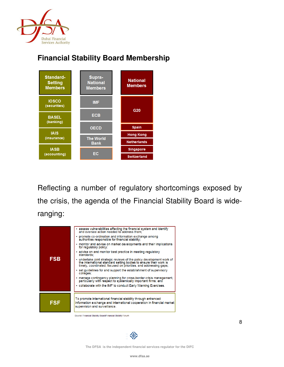

#### **Standard-**Supra-**National National Setting Members Members Members IOSCO IMF** (securities) G20 **ECB BASEL** (banking) **Spain OECD IAIS Hong Kong The World** (insurance) **Netherlands Bank IASB** Singapore EC (accounting) Switzerland

**Financial Stability Board Membership** 

Reflecting a number of regulatory shortcomings exposed by the crisis, the agenda of the Financial Stability Board is wideranging:



Source: Financial Stability Board/Financial Stability Forum

亚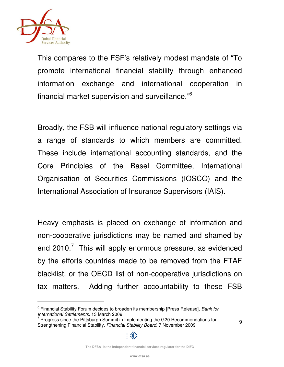

1

This compares to the FSF's relatively modest mandate of "To promote international financial stability through enhanced information exchange and international cooperation in financial market supervision and surveillance."<sup>6</sup>

Broadly, the FSB will influence national regulatory settings via a range of standards to which members are committed. These include international accounting standards, and the Core Principles of the Basel Committee, International Organisation of Securities Commissions (IOSCO) and the International Association of Insurance Supervisors (IAIS).

Heavy emphasis is placed on exchange of information and non-cooperative jurisdictions may be named and shamed by end 2010. $\frac{7}{7}$  This will apply enormous pressure, as evidenced by the efforts countries made to be removed from the FTAF blacklist, or the OECD list of non-cooperative jurisdictions on tax matters. Adding further accountability to these FSB

<sup>&</sup>lt;sup>6</sup> Financial Stability Forum decides to broaden its membership [Press Release], Bank for International Settlements, 13 March 2009

 $7$  Progress since the Pittsburgh Summit in Implementing the G20 Recommendations for Strengthening Financial Stability, Financial Stability Board, 7 November 2009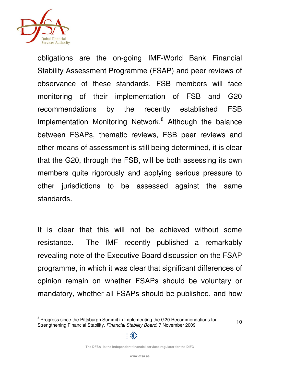

obligations are the on-going IMF-World Bank Financial Stability Assessment Programme (FSAP) and peer reviews of observance of these standards. FSB members will face monitoring of their implementation of FSB and G20 recommendations by the recently established FSB Implementation Monitoring Network.<sup>8</sup> Although the balance between FSAPs, thematic reviews, FSB peer reviews and other means of assessment is still being determined, it is clear that the G20, through the FSB, will be both assessing its own members quite rigorously and applying serious pressure to other jurisdictions to be assessed against the same standards.

It is clear that this will not be achieved without some resistance. The IMF recently published a remarkably revealing note of the Executive Board discussion on the FSAP programme, in which it was clear that significant differences of opinion remain on whether FSAPs should be voluntary or mandatory, whether all FSAPs should be published, and how



<sup>&</sup>lt;sup>8</sup> Progress since the Pittsburgh Summit in Implementing the G20 Recommendations for Strengthening Financial Stability, Financial Stability Board, 7 November 2009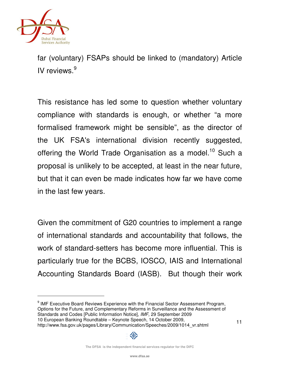

far (voluntary) FSAPs should be linked to (mandatory) Article IV reviews.<sup>9</sup>

This resistance has led some to question whether voluntary compliance with standards is enough, or whether "a more formalised framework might be sensible", as the director of the UK FSA's international division recently suggested, offering the World Trade Organisation as a model.<sup>10</sup> Such a proposal is unlikely to be accepted, at least in the near future, but that it can even be made indicates how far we have come in the last few years.

Given the commitment of G20 countries to implement a range of international standards and accountability that follows, the work of standard-setters has become more influential. This is particularly true for the BCBS, IOSCO, IAIS and International Accounting Standards Board (IASB). But though their work

<sup>9</sup> IMF Executive Board Reviews Experience with the Financial Sector Assessment Program, Options for the Future, and Complementary Reforms in Surveillance and the Assessment of Standards and Codes [Public Information Notice], IMF, 29 September 2009 10 European Banking Roundtable – Keynote Speech, 14 October 2009, http://www.fsa.gov.uk/pages/Library/Communication/Speeches/2009/1014\_vr.shtml



**The DFSA is the independent financial services regulator for the DIFC**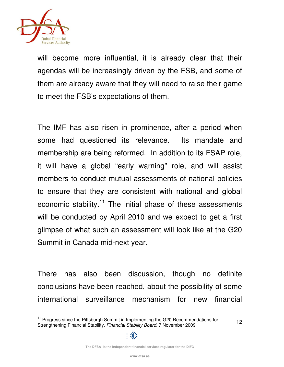

will become more influential, it is already clear that their agendas will be increasingly driven by the FSB, and some of them are already aware that they will need to raise their game to meet the FSB's expectations of them.

The IMF has also risen in prominence, after a period when some had questioned its relevance. Its mandate and membership are being reformed. In addition to its FSAP role, it will have a global "early warning" role, and will assist members to conduct mutual assessments of national policies to ensure that they are consistent with national and global economic stability. $11$  The initial phase of these assessments will be conducted by April 2010 and we expect to get a first glimpse of what such an assessment will look like at the G20 Summit in Canada mid-next year.

There has also been discussion, though no definite conclusions have been reached, about the possibility of some international surveillance mechanism for new financial



<sup>&</sup>lt;sup>11</sup> Progress since the Pittsburgh Summit in Implementing the G20 Recommendations for Strengthening Financial Stability, Financial Stability Board, 7 November 2009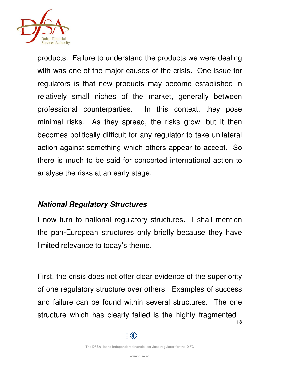

products. Failure to understand the products we were dealing with was one of the major causes of the crisis. One issue for regulators is that new products may become established in relatively small niches of the market, generally between professional counterparties. In this context, they pose minimal risks. As they spread, the risks grow, but it then becomes politically difficult for any regulator to take unilateral action against something which others appear to accept. So there is much to be said for concerted international action to analyse the risks at an early stage.

## **National Regulatory Structures**

I now turn to national regulatory structures. I shall mention the pan-European structures only briefly because they have limited relevance to today's theme.

First, the crisis does not offer clear evidence of the superiority of one regulatory structure over others. Examples of success and failure can be found within several structures. The one structure which has clearly failed is the highly fragmented

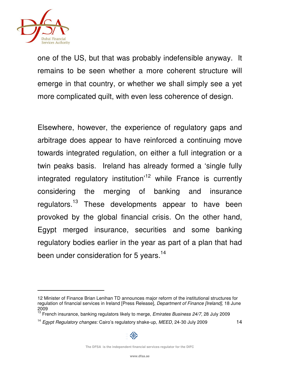

one of the US, but that was probably indefensible anyway. It remains to be seen whether a more coherent structure will emerge in that country, or whether we shall simply see a yet more complicated quilt, with even less coherence of design.

Elsewhere, however, the experience of regulatory gaps and arbitrage does appear to have reinforced a continuing move towards integrated regulation, on either a full integration or a twin peaks basis. Ireland has already formed a 'single fully integrated regulatory institution<sup> $12$ </sup> while France is currently considering the merging of banking and insurance regulators.<sup>13</sup> These developments appear to have been provoked by the global financial crisis. On the other hand, Egypt merged insurance, securities and some banking regulatory bodies earlier in the year as part of a plan that had been under consideration for 5 years.<sup>14</sup>



<sup>12</sup> Minister of Finance Brian Lenihan TD announces major reform of the institutional structures for regulation of financial services in Ireland [Press Release], Department of Finance [Ireland], 18 June 2009

<sup>&</sup>lt;sup>13</sup> French insurance, banking regulators likely to merge, Emirates Business 24/7, 28 July 2009

<sup>&</sup>lt;sup>14</sup> Egypt Regulatory changes: Cairo's regulatory shake-up, MEED, 24-30 July 2009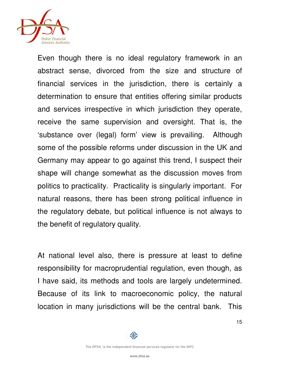

Even though there is no ideal regulatory framework in an abstract sense, divorced from the size and structure of financial services in the jurisdiction, there is certainly a determination to ensure that entities offering similar products and services irrespective in which jurisdiction they operate, receive the same supervision and oversight. That is, the 'substance over (legal) form' view is prevailing. Although some of the possible reforms under discussion in the UK and Germany may appear to go against this trend, I suspect their shape will change somewhat as the discussion moves from politics to practicality. Practicality is singularly important. For natural reasons, there has been strong political influence in the regulatory debate, but political influence is not always to the benefit of regulatory quality.

At national level also, there is pressure at least to define responsibility for macroprudential regulation, even though, as I have said, its methods and tools are largely undetermined. Because of its link to macroeconomic policy, the natural location in many jurisdictions will be the central bank. This

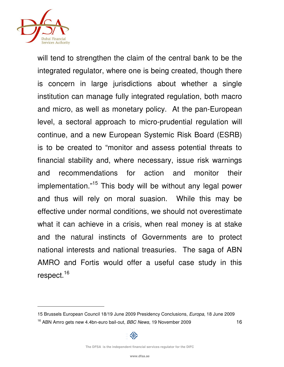

will tend to strengthen the claim of the central bank to be the integrated regulator, where one is being created, though there is concern in large jurisdictions about whether a single institution can manage fully integrated regulation, both macro and micro, as well as monetary policy. At the pan-European level, a sectoral approach to micro-prudential regulation will continue, and a new European Systemic Risk Board (ESRB) is to be created to "monitor and assess potential threats to financial stability and, where necessary, issue risk warnings and recommendations for action and monitor their implementation."<sup>15</sup> This body will be without any legal power and thus will rely on moral suasion. While this may be effective under normal conditions, we should not overestimate what it can achieve in a crisis, when real money is at stake and the natural instincts of Governments are to protect national interests and national treasuries. The saga of ABN AMRO and Fortis would offer a useful case study in this respect.<sup>16</sup>



<sup>15</sup> Brussels European Council 18/19 June 2009 Presidency Conclusions, Europa, 18 June 2009

<sup>&</sup>lt;sup>16</sup> ABN Amro gets new 4.4bn-euro bail-out, *BBC News*, 19 November 2009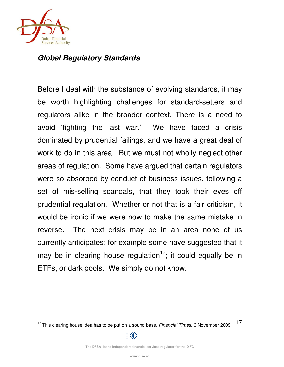

# **Global Regulatory Standards**

Before I deal with the substance of evolving standards, it may be worth highlighting challenges for standard-setters and regulators alike in the broader context. There is a need to avoid 'fighting the last war.' We have faced a crisis dominated by prudential failings, and we have a great deal of work to do in this area. But we must not wholly neglect other areas of regulation. Some have argued that certain regulators were so absorbed by conduct of business issues, following a set of mis-selling scandals, that they took their eyes off prudential regulation. Whether or not that is a fair criticism, it would be ironic if we were now to make the same mistake in reverse. The next crisis may be in an area none of us currently anticipates; for example some have suggested that it may be in clearing house regulation<sup>17</sup>; it could equally be in ETFs, or dark pools. We simply do not know.

<sup>17</sup>  $17$  This clearing house idea has to be put on a sound base, Financial Times, 6 November 2009

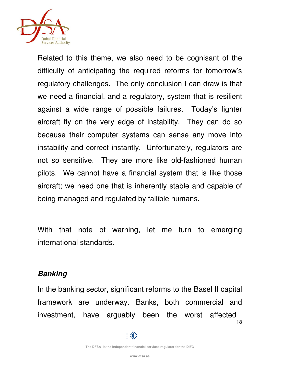

Related to this theme, we also need to be cognisant of the difficulty of anticipating the required reforms for tomorrow's regulatory challenges. The only conclusion I can draw is that we need a financial, and a regulatory, system that is resilient against a wide range of possible failures. Today's fighter aircraft fly on the very edge of instability. They can do so because their computer systems can sense any move into instability and correct instantly. Unfortunately, regulators are not so sensitive. They are more like old-fashioned human pilots. We cannot have a financial system that is like those aircraft; we need one that is inherently stable and capable of being managed and regulated by fallible humans.

With that note of warning, let me turn to emerging international standards.

# **Banking**

18 In the banking sector, significant reforms to the Basel II capital framework are underway. Banks, both commercial and investment, have arguably been the worst affected

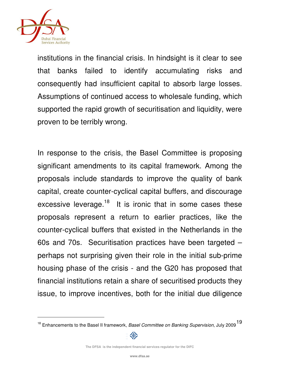

institutions in the financial crisis. In hindsight is it clear to see that banks failed to identify accumulating risks and consequently had insufficient capital to absorb large losses. Assumptions of continued access to wholesale funding, which supported the rapid growth of securitisation and liquidity, were proven to be terribly wrong.

In response to the crisis, the Basel Committee is proposing significant amendments to its capital framework. Among the proposals include standards to improve the quality of bank capital, create counter-cyclical capital buffers, and discourage excessive leverage.<sup>18</sup> It is ironic that in some cases these proposals represent a return to earlier practices, like the counter-cyclical buffers that existed in the Netherlands in the 60s and 70s. Securitisation practices have been targeted – perhaps not surprising given their role in the initial sub-prime housing phase of the crisis - and the G20 has proposed that financial institutions retain a share of securitised products they issue, to improve incentives, both for the initial due diligence

<sup>&</sup>lt;sup>18</sup> Enhancements to the Basel II framework, *Basel Committee on Banking Supervision*, July 2009 <sup>19</sup>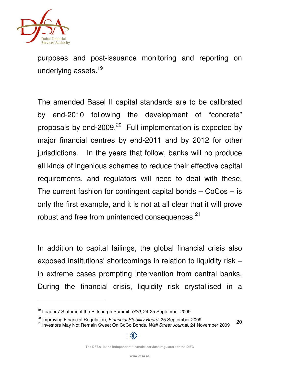

1

purposes and post-issuance monitoring and reporting on underlying assets.<sup>19</sup>

The amended Basel II capital standards are to be calibrated by end-2010 following the development of "concrete" proposals by end-2009. $20$  Full implementation is expected by major financial centres by end-2011 and by 2012 for other jurisdictions. In the years that follow, banks will no produce all kinds of ingenious schemes to reduce their effective capital requirements, and regulators will need to deal with these. The current fashion for contingent capital bonds  $-$  CoCos  $-$  is only the first example, and it is not at all clear that it will prove robust and free from unintended consequences.<sup>21</sup>

In addition to capital failings, the global financial crisis also exposed institutions' shortcomings in relation to liquidity risk – in extreme cases prompting intervention from central banks. During the financial crisis, liquidity risk crystallised in a

 $19$  Leaders' Statement the Pittsburgh Summit,  $G20$ , 24-25 September 2009

<sup>&</sup>lt;sup>20</sup> Improving Financial Regulation, *Financial Stability Board*, 25 September 2009

<sup>20</sup> <sup>21</sup> Investors May Not Remain Sweet On CoCo Bonds, Wall Street Journal, 24 November 2009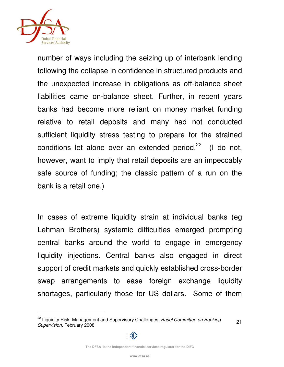

number of ways including the seizing up of interbank lending following the collapse in confidence in structured products and the unexpected increase in obligations as off-balance sheet liabilities came on-balance sheet. Further, in recent years banks had become more reliant on money market funding relative to retail deposits and many had not conducted sufficient liquidity stress testing to prepare for the strained conditions let alone over an extended period. $22$  (I do not, however, want to imply that retail deposits are an impeccably safe source of funding; the classic pattern of a run on the bank is a retail one.)

In cases of extreme liquidity strain at individual banks (eg Lehman Brothers) systemic difficulties emerged prompting central banks around the world to engage in emergency liquidity injections. Central banks also engaged in direct support of credit markets and quickly established cross-border swap arrangements to ease foreign exchange liquidity shortages, particularly those for US dollars. Some of them



<sup>&</sup>lt;sup>22</sup> Liquidity Risk: Management and Supervisory Challenges, Basel Committee on Banking Supervision, February 2008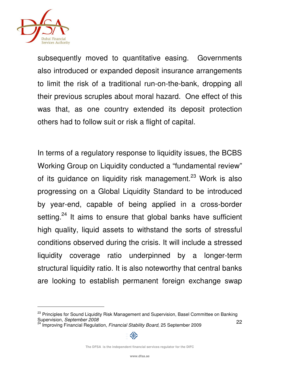

1

subsequently moved to quantitative easing. Governments also introduced or expanded deposit insurance arrangements to limit the risk of a traditional run-on-the-bank, dropping all their previous scruples about moral hazard. One effect of this was that, as one country extended its deposit protection others had to follow suit or risk a flight of capital.

In terms of a regulatory response to liquidity issues, the BCBS Working Group on Liquidity conducted a "fundamental review" of its guidance on liquidity risk management.<sup>23</sup> Work is also progressing on a Global Liquidity Standard to be introduced by year-end, capable of being applied in a cross-border setting.<sup>24</sup> It aims to ensure that global banks have sufficient high quality, liquid assets to withstand the sorts of stressful conditions observed during the crisis. It will include a stressed liquidity coverage ratio underpinned by a longer-term structural liquidity ratio. It is also noteworthy that central banks are looking to establish permanent foreign exchange swap

<sup>22</sup> <sup>23</sup> Principles for Sound Liquidity Risk Management and Supervision, Basel Committee on Banking Supervision, September 2008

<sup>24</sup> Improving Financial Regulation, Financial Stability Board, 25 September 2009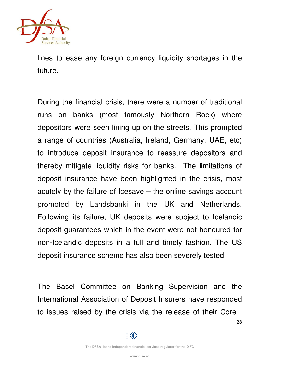

lines to ease any foreign currency liquidity shortages in the future.

During the financial crisis, there were a number of traditional runs on banks (most famously Northern Rock) where depositors were seen lining up on the streets. This prompted a range of countries (Australia, Ireland, Germany, UAE, etc) to introduce deposit insurance to reassure depositors and thereby mitigate liquidity risks for banks. The limitations of deposit insurance have been highlighted in the crisis, most acutely by the failure of Icesave – the online savings account promoted by Landsbanki in the UK and Netherlands. Following its failure, UK deposits were subject to Icelandic deposit guarantees which in the event were not honoured for non-Icelandic deposits in a full and timely fashion. The US deposit insurance scheme has also been severely tested.

The Basel Committee on Banking Supervision and the International Association of Deposit Insurers have responded to issues raised by the crisis via the release of their Core

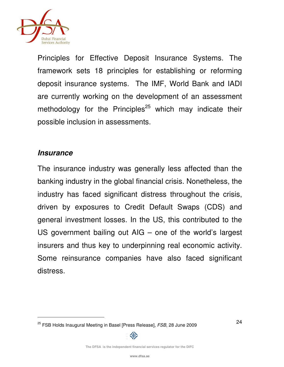

Principles for Effective Deposit Insurance Systems. The framework sets 18 principles for establishing or reforming deposit insurance systems. The IMF, World Bank and IADI are currently working on the development of an assessment methodology for the Principles $^{25}$  which may indicate their possible inclusion in assessments.

## **Insurance**

j

The insurance industry was generally less affected than the banking industry in the global financial crisis. Nonetheless, the industry has faced significant distress throughout the crisis, driven by exposures to Credit Default Swaps (CDS) and general investment losses. In the US, this contributed to the US government bailing out AIG – one of the world's largest insurers and thus key to underpinning real economic activity. Some reinsurance companies have also faced significant distress.

<sup>&</sup>lt;sup>25</sup> FSB Holds Inaugural Meeting in Basel [Press Release], FSB, 28 June 2009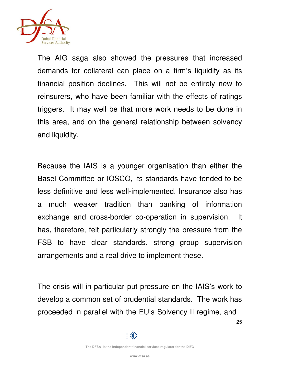

The AIG saga also showed the pressures that increased demands for collateral can place on a firm's liquidity as its financial position declines. This will not be entirely new to reinsurers, who have been familiar with the effects of ratings triggers. It may well be that more work needs to be done in this area, and on the general relationship between solvency and liquidity.

Because the IAIS is a younger organisation than either the Basel Committee or IOSCO, its standards have tended to be less definitive and less well-implemented. Insurance also has a much weaker tradition than banking of information exchange and cross-border co-operation in supervision. It has, therefore, felt particularly strongly the pressure from the FSB to have clear standards, strong group supervision arrangements and a real drive to implement these.

The crisis will in particular put pressure on the IAIS's work to develop a common set of prudential standards. The work has proceeded in parallel with the EU's Solvency II regime, and

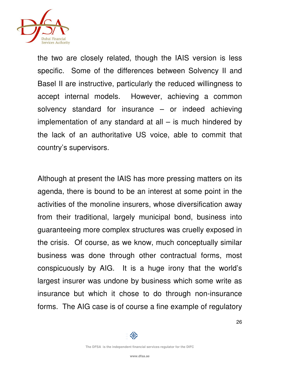

the two are closely related, though the IAIS version is less specific. Some of the differences between Solvency II and Basel II are instructive, particularly the reduced willingness to accept internal models. However, achieving a common solvency standard for insurance – or indeed achieving implementation of any standard at all  $-$  is much hindered by the lack of an authoritative US voice, able to commit that country's supervisors.

Although at present the IAIS has more pressing matters on its agenda, there is bound to be an interest at some point in the activities of the monoline insurers, whose diversification away from their traditional, largely municipal bond, business into guaranteeing more complex structures was cruelly exposed in the crisis. Of course, as we know, much conceptually similar business was done through other contractual forms, most conspicuously by AIG. It is a huge irony that the world's largest insurer was undone by business which some write as insurance but which it chose to do through non-insurance forms. The AIG case is of course a fine example of regulatory

邻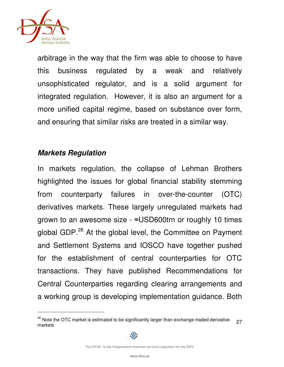

arbitrage in the way that the firm was able to choose to have this business regulated by a weak and relatively unsophisticated regulator, and is a solid argument for integrated regulation. However, it is also an argument for a more unified capital regime, based on substance over form, and ensuring that similar risks are treated in a similar way.

# **Markets Regulation**

In markets regulation, the collapse of Lehman Brothers highlighted the issues for global financial stability stemming from counterparty failures in over-the-counter (OTC) derivatives markets. These largely unregulated markets had grown to an awesome size - ≈USD600trn or roughly 10 times global GDP.<sup>26</sup> At the global level, the Committee on Payment and Settlement Systems and IOSCO have together pushed for the establishment of central counterparties for OTC transactions. They have published Recommendations for Central Counterparties regarding clearing arrangements and a working group is developing implementation guidance. Both

<sup>27</sup>  $26$  Note the OTC market is estimated to be significantly larger than exchange-traded derivative markets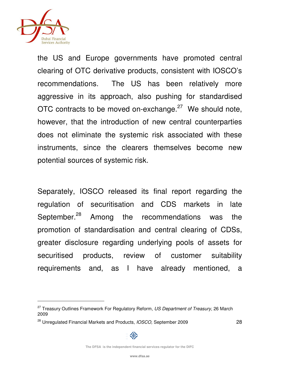

1

the US and Europe governments have promoted central clearing of OTC derivative products, consistent with IOSCO's recommendations. The US has been relatively more aggressive in its approach, also pushing for standardised OTC contracts to be moved on-exchange. $27$  We should note, however, that the introduction of new central counterparties does not eliminate the systemic risk associated with these instruments, since the clearers themselves become new potential sources of systemic risk.

Separately, IOSCO released its final report regarding the regulation of securitisation and CDS markets in late September.<sup>28</sup> Among the recommendations was the promotion of standardisation and central clearing of CDSs, greater disclosure regarding underlying pools of assets for securitised products, review of customer suitability requirements and, as I have already mentioned, a



<sup>&</sup>lt;sup>27</sup> Treasury Outlines Framework For Regulatory Reform, US Department of Treasury, 26 March 2009

<sup>&</sup>lt;sup>28</sup> Unregulated Financial Markets and Products, *IOSCO*, September 2009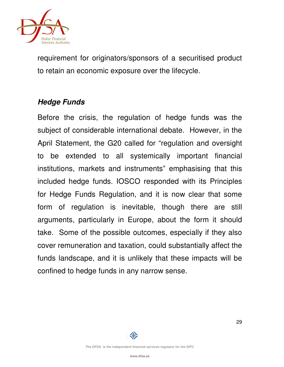

requirement for originators/sponsors of a securitised product to retain an economic exposure over the lifecycle.

# **Hedge Funds**

Before the crisis, the regulation of hedge funds was the subject of considerable international debate. However, in the April Statement, the G20 called for "regulation and oversight to be extended to all systemically important financial institutions, markets and instruments" emphasising that this included hedge funds. IOSCO responded with its Principles for Hedge Funds Regulation, and it is now clear that some form of regulation is inevitable, though there are still arguments, particularly in Europe, about the form it should take. Some of the possible outcomes, especially if they also cover remuneration and taxation, could substantially affect the funds landscape, and it is unlikely that these impacts will be confined to hedge funds in any narrow sense.

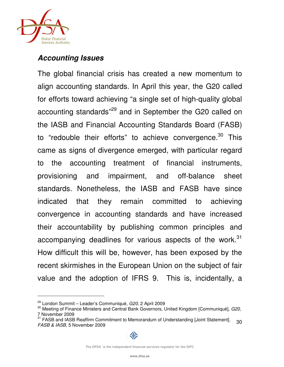

# **Accounting Issues**

The global financial crisis has created a new momentum to align accounting standards. In April this year, the G20 called for efforts toward achieving "a single set of high-quality global accounting standards<sup>"29</sup> and in September the G20 called on the IASB and Financial Accounting Standards Board (FASB) to "redouble their efforts" to achieve convergence. $30$  This came as signs of divergence emerged, with particular regard to the accounting treatment of financial instruments, provisioning and impairment, and off-balance sheet standards. Nonetheless, the IASB and FASB have since indicated that they remain committed to achieving convergence in accounting standards and have increased their accountability by publishing common principles and accompanying deadlines for various aspects of the work. $31$ How difficult this will be, however, has been exposed by the recent skirmishes in the European Union on the subject of fair value and the adoption of IFRS 9. This is, incidentally, a

 $^{29}_{\odot}$  London Summit – Leader's Communiqué, G20, 2 April 2009

 $30$  Meeting of Finance Ministers and Central Bank Governors, United Kingdom [Communiqué], G20, 7 November 2009

<sup>30</sup> <sup>31</sup> FASB and IASB Reaffirm Commitment to Memorandum of Understanding [Joint Statement]. FASB & IASB, 5 November 2009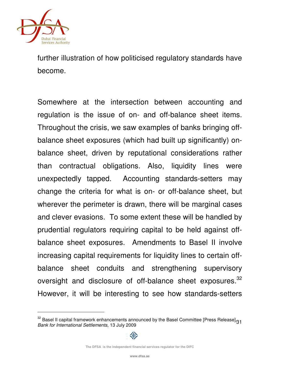

further illustration of how politicised regulatory standards have become.

Somewhere at the intersection between accounting and regulation is the issue of on- and off-balance sheet items. Throughout the crisis, we saw examples of banks bringing offbalance sheet exposures (which had built up significantly) onbalance sheet, driven by reputational considerations rather than contractual obligations. Also, liquidity lines were unexpectedly tapped. Accounting standards-setters may change the criteria for what is on- or off-balance sheet, but wherever the perimeter is drawn, there will be marginal cases and clever evasions. To some extent these will be handled by prudential regulators requiring capital to be held against offbalance sheet exposures. Amendments to Basel II involve increasing capital requirements for liquidity lines to certain offbalance sheet conduits and strengthening supervisory oversight and disclosure of off-balance sheet exposures.<sup>32</sup> However, it will be interesting to see how standards-setters

<sup>&</sup>lt;sup>32</sup> Basel II capital framework enhancements announced by the Basel Committee [Press Release]<sub>31</sub> Bank for International Settlements, 13 July 2009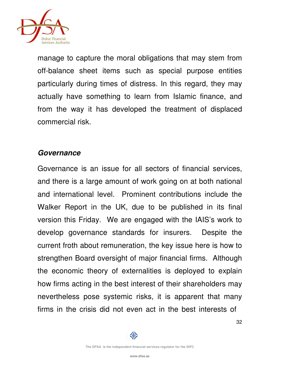

manage to capture the moral obligations that may stem from off-balance sheet items such as special purpose entities particularly during times of distress. In this regard, they may actually have something to learn from Islamic finance, and from the way it has developed the treatment of displaced commercial risk.

## **Governance**

Governance is an issue for all sectors of financial services, and there is a large amount of work going on at both national and international level. Prominent contributions include the Walker Report in the UK, due to be published in its final version this Friday. We are engaged with the IAIS's work to develop governance standards for insurers. Despite the current froth about remuneration, the key issue here is how to strengthen Board oversight of major financial firms. Although the economic theory of externalities is deployed to explain how firms acting in the best interest of their shareholders may nevertheless pose systemic risks, it is apparent that many firms in the crisis did not even act in the best interests of

32

邻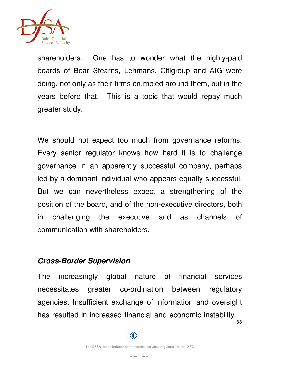

shareholders. One has to wonder what the highly-paid boards of Bear Stearns, Lehmans, Citigroup and AIG were doing, not only as their firms crumbled around them, but in the years before that. This is a topic that would repay much greater study.

We should not expect too much from governance reforms. Every senior regulator knows how hard it is to challenge governance in an apparently successful company, perhaps led by a dominant individual who appears equally successful. But we can nevertheless expect a strengthening of the position of the board, and of the non-executive directors, both in challenging the executive and as channels of communication with shareholders.

#### **Cross-Border Supervision**

The increasingly global nature of financial services necessitates greater co-ordination between regulatory agencies. Insufficient exchange of information and oversight has resulted in increased financial and economic instability.

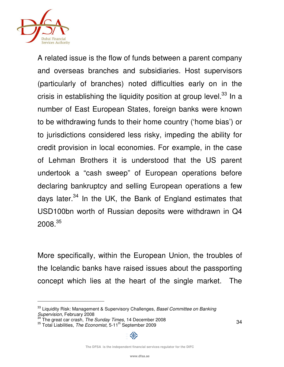

1

A related issue is the flow of funds between a parent company and overseas branches and subsidiaries. Host supervisors (particularly of branches) noted difficulties early on in the crisis in establishing the liquidity position at group level. $33$  In a number of East European States, foreign banks were known to be withdrawing funds to their home country ('home bias') or to jurisdictions considered less risky, impeding the ability for credit provision in local economies. For example, in the case of Lehman Brothers it is understood that the US parent undertook a "cash sweep" of European operations before declaring bankruptcy and selling European operations a few days later.<sup>34</sup> In the UK, the Bank of England estimates that USD100bn worth of Russian deposits were withdrawn in Q4  $2008.^{35}$ 

More specifically, within the European Union, the troubles of the Icelandic banks have raised issues about the passporting concept which lies at the heart of the single market. The

<sup>&</sup>lt;sup>33</sup> Liquidity Risk: Management & Supervisory Challenges, Basel Committee on Banking Supervision, February 2008

 $34$  The great car crash, The Sunday Times, 14 December 2008

<sup>&</sup>lt;sup>35</sup> Total Liabilities, The Economist, 5-11<sup>th</sup> September 2009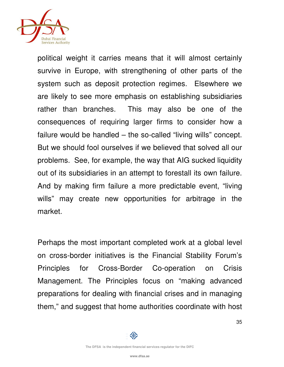

political weight it carries means that it will almost certainly survive in Europe, with strengthening of other parts of the system such as deposit protection regimes. Elsewhere we are likely to see more emphasis on establishing subsidiaries rather than branches. This may also be one of the consequences of requiring larger firms to consider how a failure would be handled – the so-called "living wills" concept. But we should fool ourselves if we believed that solved all our problems. See, for example, the way that AIG sucked liquidity out of its subsidiaries in an attempt to forestall its own failure. And by making firm failure a more predictable event, "living wills" may create new opportunities for arbitrage in the market.

Perhaps the most important completed work at a global level on cross-border initiatives is the Financial Stability Forum's Principles for Cross-Border Co-operation on Crisis Management. The Principles focus on "making advanced preparations for dealing with financial crises and in managing them," and suggest that home authorities coordinate with host

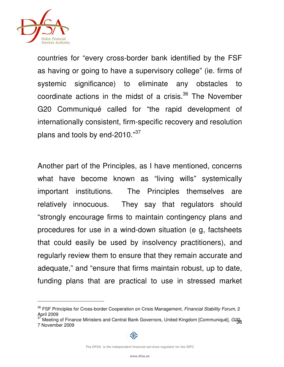

1

countries for "every cross-border bank identified by the FSF as having or going to have a supervisory college" (ie. firms of systemic significance) to eliminate any obstacles to coordinate actions in the midst of a crisis.<sup>36</sup> The November G20 Communiqué called for "the rapid development of internationally consistent, firm-specific recovery and resolution plans and tools by end-2010."<sup>37</sup>

Another part of the Principles, as I have mentioned, concerns what have become known as "living wills" systemically important institutions. The Principles themselves are relatively innocuous. They say that regulators should "strongly encourage firms to maintain contingency plans and procedures for use in a wind-down situation (e g, factsheets that could easily be used by insolvency practitioners), and regularly review them to ensure that they remain accurate and adequate," and "ensure that firms maintain robust, up to date, funding plans that are practical to use in stressed market

<sup>&</sup>lt;sup>36</sup> FSF Principles for Cross-border Cooperation on Crisis Management, Financial Stability Forum, 2 April 2009

<sup>&</sup>lt;sup>37</sup> Meeting of Finance Ministers and Central Bank Governors, United Kingdom [Communiqué], G2g<sub>6</sub><br>7 November 2000 7 November 2009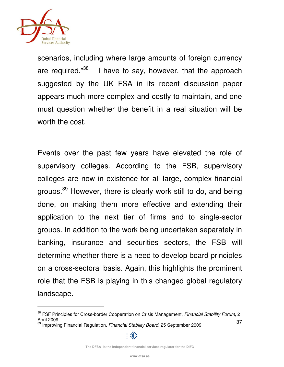

1

scenarios, including where large amounts of foreign currency are required."<sup>38</sup> I have to say, however, that the approach suggested by the UK FSA in its recent discussion paper appears much more complex and costly to maintain, and one must question whether the benefit in a real situation will be worth the cost.

Events over the past few years have elevated the role of supervisory colleges. According to the FSB, supervisory colleges are now in existence for all large, complex financial groups.<sup>39</sup> However, there is clearly work still to do, and being done, on making them more effective and extending their application to the next tier of firms and to single-sector groups. In addition to the work being undertaken separately in banking, insurance and securities sectors, the FSB will determine whether there is a need to develop board principles on a cross-sectoral basis. Again, this highlights the prominent role that the FSB is playing in this changed global regulatory landscape.

<sup>37</sup> <sup>38</sup> FSF Principles for Cross-border Cooperation on Crisis Management, Financial Stability Forum, 2 April 2009 Improving Financial Regulation, Financial Stability Board, 25 September 2009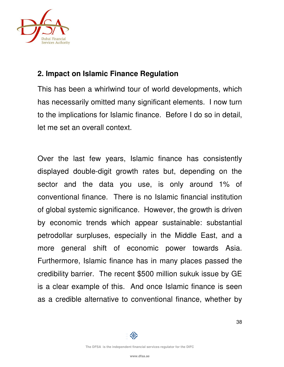

# **2. Impact on Islamic Finance Regulation**

This has been a whirlwind tour of world developments, which has necessarily omitted many significant elements. I now turn to the implications for Islamic finance. Before I do so in detail, let me set an overall context.

Over the last few years, Islamic finance has consistently displayed double-digit growth rates but, depending on the sector and the data you use, is only around 1% of conventional finance. There is no Islamic financial institution of global systemic significance. However, the growth is driven by economic trends which appear sustainable: substantial petrodollar surpluses, especially in the Middle East, and a more general shift of economic power towards Asia. Furthermore, Islamic finance has in many places passed the credibility barrier. The recent \$500 million sukuk issue by GE is a clear example of this. And once Islamic finance is seen as a credible alternative to conventional finance, whether by

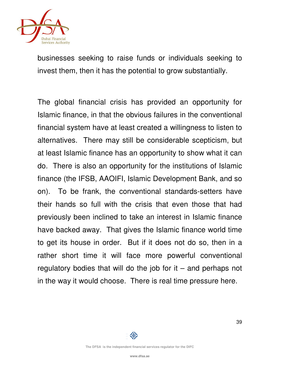

businesses seeking to raise funds or individuals seeking to invest them, then it has the potential to grow substantially.

The global financial crisis has provided an opportunity for Islamic finance, in that the obvious failures in the conventional financial system have at least created a willingness to listen to alternatives. There may still be considerable scepticism, but at least Islamic finance has an opportunity to show what it can do. There is also an opportunity for the institutions of Islamic finance (the IFSB, AAOIFI, Islamic Development Bank, and so on). To be frank, the conventional standards-setters have their hands so full with the crisis that even those that had previously been inclined to take an interest in Islamic finance have backed away. That gives the Islamic finance world time to get its house in order. But if it does not do so, then in a rather short time it will face more powerful conventional regulatory bodies that will do the job for it  $-$  and perhaps not in the way it would choose. There is real time pressure here.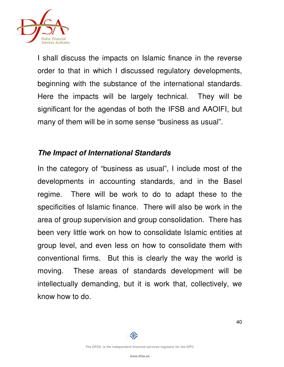

I shall discuss the impacts on Islamic finance in the reverse order to that in which I discussed regulatory developments, beginning with the substance of the international standards. Here the impacts will be largely technical. They will be significant for the agendas of both the IFSB and AAOIFI, but many of them will be in some sense "business as usual".

## **The Impact of International Standards**

In the category of "business as usual", I include most of the developments in accounting standards, and in the Basel regime. There will be work to do to adapt these to the specificities of Islamic finance. There will also be work in the area of group supervision and group consolidation. There has been very little work on how to consolidate Islamic entities at group level, and even less on how to consolidate them with conventional firms. But this is clearly the way the world is moving. These areas of standards development will be intellectually demanding, but it is work that, collectively, we know how to do.

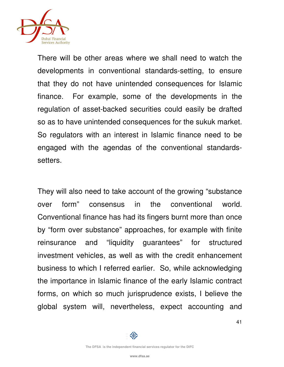

There will be other areas where we shall need to watch the developments in conventional standards-setting, to ensure that they do not have unintended consequences for Islamic finance. For example, some of the developments in the regulation of asset-backed securities could easily be drafted so as to have unintended consequences for the sukuk market. So regulators with an interest in Islamic finance need to be engaged with the agendas of the conventional standardssetters.

They will also need to take account of the growing "substance over form" consensus in the conventional world. Conventional finance has had its fingers burnt more than once by "form over substance" approaches, for example with finite reinsurance and "liquidity guarantees" for structured investment vehicles, as well as with the credit enhancement business to which I referred earlier. So, while acknowledging the importance in Islamic finance of the early Islamic contract forms, on which so much jurisprudence exists, I believe the global system will, nevertheless, expect accounting and

![](_page_40_Picture_4.jpeg)

⑩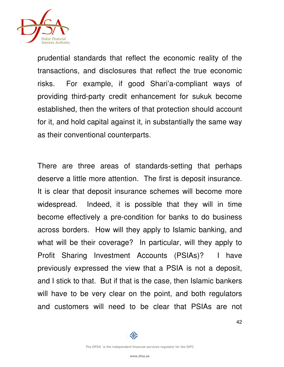![](_page_41_Picture_0.jpeg)

prudential standards that reflect the economic reality of the transactions, and disclosures that reflect the true economic risks. For example, if good Shari'a-compliant ways of providing third-party credit enhancement for sukuk become established, then the writers of that protection should account for it, and hold capital against it, in substantially the same way as their conventional counterparts.

There are three areas of standards-setting that perhaps deserve a little more attention. The first is deposit insurance. It is clear that deposit insurance schemes will become more widespread. Indeed, it is possible that they will in time become effectively a pre-condition for banks to do business across borders. How will they apply to Islamic banking, and what will be their coverage? In particular, will they apply to Profit Sharing Investment Accounts (PSIAs)? I have previously expressed the view that a PSIA is not a deposit, and I stick to that. But if that is the case, then Islamic bankers will have to be very clear on the point, and both regulators and customers will need to be clear that PSIAs are not

邻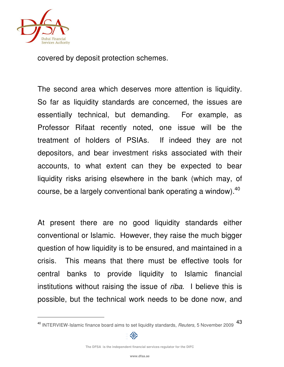![](_page_42_Picture_0.jpeg)

covered by deposit protection schemes.

The second area which deserves more attention is liquidity. So far as liquidity standards are concerned, the issues are essentially technical, but demanding. For example, as Professor Rifaat recently noted, one issue will be the treatment of holders of PSIAs. If indeed they are not depositors, and bear investment risks associated with their accounts, to what extent can they be expected to bear liquidity risks arising elsewhere in the bank (which may, of course, be a largely conventional bank operating a window). $40$ 

At present there are no good liquidity standards either conventional or Islamic. However, they raise the much bigger question of how liquidity is to be ensured, and maintained in a crisis. This means that there must be effective tools for central banks to provide liquidity to Islamic financial institutions without raising the issue of *riba*. I believe this is possible, but the technical work needs to be done now, and

<sup>43</sup> <sup>40</sup> INTERVIEW-Islamic finance board aims to set liquidity standards, Reuters, 5 November 2009

![](_page_42_Picture_5.jpeg)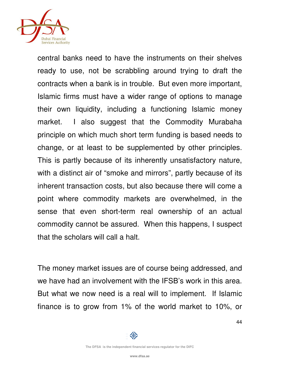![](_page_43_Picture_0.jpeg)

central banks need to have the instruments on their shelves ready to use, not be scrabbling around trying to draft the contracts when a bank is in trouble. But even more important, Islamic firms must have a wider range of options to manage their own liquidity, including a functioning Islamic money market. I also suggest that the Commodity Murabaha principle on which much short term funding is based needs to change, or at least to be supplemented by other principles. This is partly because of its inherently unsatisfactory nature, with a distinct air of "smoke and mirrors", partly because of its inherent transaction costs, but also because there will come a point where commodity markets are overwhelmed, in the sense that even short-term real ownership of an actual commodity cannot be assured. When this happens, I suspect that the scholars will call a halt.

The money market issues are of course being addressed, and we have had an involvement with the IFSB's work in this area. But what we now need is a real will to implement. If Islamic finance is to grow from 1% of the world market to 10%, or

![](_page_43_Picture_4.jpeg)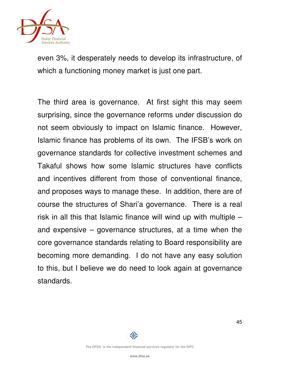![](_page_44_Picture_0.jpeg)

even 3%, it desperately needs to develop its infrastructure, of which a functioning money market is just one part.

The third area is governance. At first sight this may seem surprising, since the governance reforms under discussion do not seem obviously to impact on Islamic finance. However, Islamic finance has problems of its own. The IFSB's work on governance standards for collective investment schemes and Takaful shows how some Islamic structures have conflicts and incentives different from those of conventional finance, and proposes ways to manage these. In addition, there are of course the structures of Shari'a governance. There is a real risk in all this that Islamic finance will wind up with multiple – and expensive – governance structures, at a time when the core governance standards relating to Board responsibility are becoming more demanding. I do not have any easy solution to this, but I believe we do need to look again at governance standards.

![](_page_44_Picture_3.jpeg)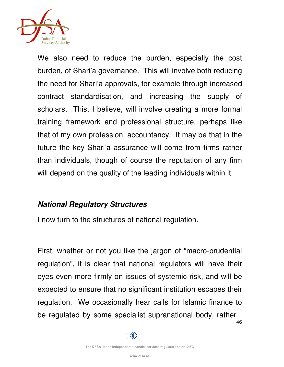![](_page_45_Picture_0.jpeg)

We also need to reduce the burden, especially the cost burden, of Shari'a governance. This will involve both reducing the need for Shari'a approvals, for example through increased contract standardisation, and increasing the supply of scholars. This, I believe, will involve creating a more formal training framework and professional structure, perhaps like that of my own profession, accountancy. It may be that in the future the key Shari'a assurance will come from firms rather than individuals, though of course the reputation of any firm will depend on the quality of the leading individuals within it.

# **National Regulatory Structures**

I now turn to the structures of national regulation.

46 First, whether or not you like the jargon of "macro-prudential regulation", it is clear that national regulators will have their eyes even more firmly on issues of systemic risk, and will be expected to ensure that no significant institution escapes their regulation. We occasionally hear calls for Islamic finance to be regulated by some specialist supranational body, rather

![](_page_45_Picture_5.jpeg)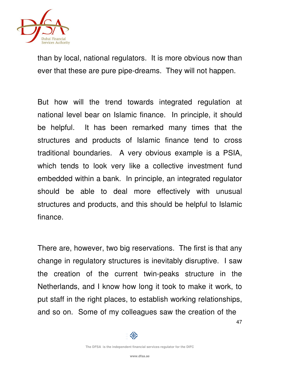![](_page_46_Picture_0.jpeg)

than by local, national regulators. It is more obvious now than ever that these are pure pipe-dreams. They will not happen.

But how will the trend towards integrated regulation at national level bear on Islamic finance. In principle, it should be helpful. It has been remarked many times that the structures and products of Islamic finance tend to cross traditional boundaries. A very obvious example is a PSIA, which tends to look very like a collective investment fund embedded within a bank. In principle, an integrated regulator should be able to deal more effectively with unusual structures and products, and this should be helpful to Islamic finance.

There are, however, two big reservations. The first is that any change in regulatory structures is inevitably disruptive. I saw the creation of the current twin-peaks structure in the Netherlands, and I know how long it took to make it work, to put staff in the right places, to establish working relationships, and so on. Some of my colleagues saw the creation of the

47

邻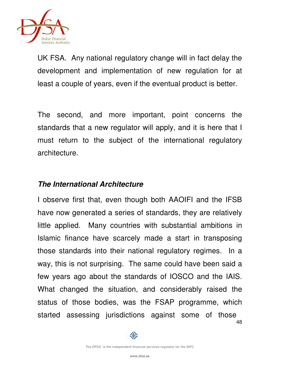![](_page_47_Picture_0.jpeg)

UK FSA. Any national regulatory change will in fact delay the development and implementation of new regulation for at least a couple of years, even if the eventual product is better.

The second, and more important, point concerns the standards that a new regulator will apply, and it is here that I must return to the subject of the international regulatory architecture.

#### **The International Architecture**

48 I observe first that, even though both AAOIFI and the IFSB have now generated a series of standards, they are relatively little applied. Many countries with substantial ambitions in Islamic finance have scarcely made a start in transposing those standards into their national regulatory regimes. In a way, this is not surprising. The same could have been said a few years ago about the standards of IOSCO and the IAIS. What changed the situation, and considerably raised the status of those bodies, was the FSAP programme, which started assessing jurisdictions against some of those

![](_page_47_Picture_5.jpeg)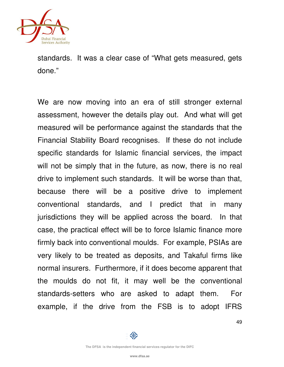![](_page_48_Picture_0.jpeg)

standards. It was a clear case of "What gets measured, gets done."

We are now moving into an era of still stronger external assessment, however the details play out. And what will get measured will be performance against the standards that the Financial Stability Board recognises. If these do not include specific standards for Islamic financial services, the impact will not be simply that in the future, as now, there is no real drive to implement such standards. It will be worse than that, because there will be a positive drive to implement conventional standards, and I predict that in many jurisdictions they will be applied across the board. In that case, the practical effect will be to force Islamic finance more firmly back into conventional moulds. For example, PSIAs are very likely to be treated as deposits, and Takaful firms like normal insurers. Furthermore, if it does become apparent that the moulds do not fit, it may well be the conventional standards-setters who are asked to adapt them. For example, if the drive from the FSB is to adopt IFRS

![](_page_48_Picture_4.jpeg)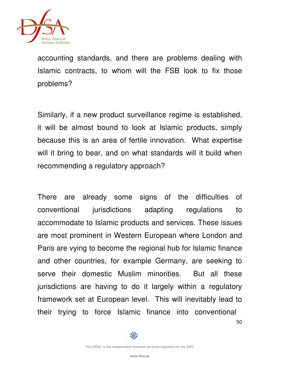![](_page_49_Picture_0.jpeg)

accounting standards, and there are problems dealing with Islamic contracts, to whom will the FSB look to fix those problems?

Similarly, if a new product surveillance regime is established, it will be almost bound to look at Islamic products, simply because this is an area of fertile innovation. What expertise will it bring to bear, and on what standards will it build when recommending a regulatory approach?

There are already some signs of the difficulties of conventional jurisdictions adapting regulations to accommodate to Islamic products and services. These issues are most prominent in Western European where London and Paris are vying to become the regional hub for Islamic finance and other countries, for example Germany, are seeking to serve their domestic Muslim minorities. But all these jurisdictions are having to do it largely within a regulatory framework set at European level. This will inevitably lead to their trying to force Islamic finance into conventional

![](_page_49_Picture_5.jpeg)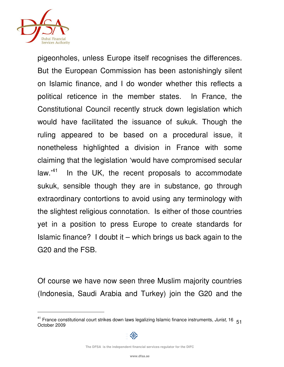![](_page_50_Picture_0.jpeg)

pigeonholes, unless Europe itself recognises the differences. But the European Commission has been astonishingly silent on Islamic finance, and I do wonder whether this reflects a political reticence in the member states. In France, the Constitutional Council recently struck down legislation which would have facilitated the issuance of sukuk. Though the ruling appeared to be based on a procedural issue, it nonetheless highlighted a division in France with some claiming that the legislation 'would have compromised secular  $law.<sup>41</sup>$  In the UK, the recent proposals to accommodate sukuk, sensible though they are in substance, go through extraordinary contortions to avoid using any terminology with the slightest religious connotation. Is either of those countries yet in a position to press Europe to create standards for Islamic finance? I doubt it – which brings us back again to the G20 and the FSB.

Of course we have now seen three Muslim majority countries (Indonesia, Saudi Arabia and Turkey) join the G20 and the

**The DFSA is the independent financial services regulator for the DIFC**

<sup>&</sup>lt;sup>41</sup> France constitutional court strikes down laws legalizing Islamic finance instruments, Jurist, 16  $51$ October 2009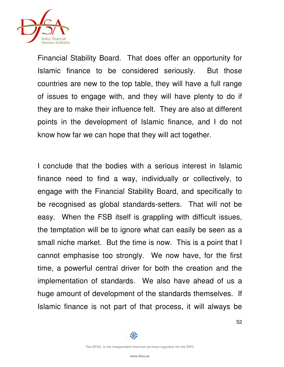![](_page_51_Picture_0.jpeg)

Financial Stability Board. That does offer an opportunity for Islamic finance to be considered seriously. But those countries are new to the top table, they will have a full range of issues to engage with, and they will have plenty to do if they are to make their influence felt. They are also at different points in the development of Islamic finance, and I do not know how far we can hope that they will act together.

I conclude that the bodies with a serious interest in Islamic finance need to find a way, individually or collectively, to engage with the Financial Stability Board, and specifically to be recognised as global standards-setters. That will not be easy. When the FSB itself is grappling with difficult issues, the temptation will be to ignore what can easily be seen as a small niche market. But the time is now. This is a point that I cannot emphasise too strongly. We now have, for the first time, a powerful central driver for both the creation and the implementation of standards. We also have ahead of us a huge amount of development of the standards themselves. If Islamic finance is not part of that process, it will always be

![](_page_51_Picture_4.jpeg)